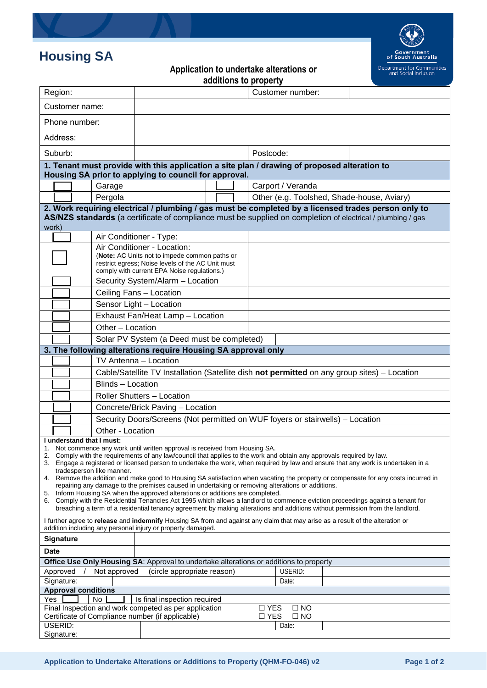## **Housing SA**



**Application to undertake alterations or** 

| additions to property                                                                                                                                                                                                                                            |                                                                                                    |                                                                               |  |                                            |  |  |
|------------------------------------------------------------------------------------------------------------------------------------------------------------------------------------------------------------------------------------------------------------------|----------------------------------------------------------------------------------------------------|-------------------------------------------------------------------------------|--|--------------------------------------------|--|--|
| Region:                                                                                                                                                                                                                                                          |                                                                                                    |                                                                               |  | Customer number:                           |  |  |
| Customer name:                                                                                                                                                                                                                                                   |                                                                                                    |                                                                               |  |                                            |  |  |
| Phone number:                                                                                                                                                                                                                                                    |                                                                                                    |                                                                               |  |                                            |  |  |
| Address:                                                                                                                                                                                                                                                         |                                                                                                    |                                                                               |  |                                            |  |  |
| Suburb:                                                                                                                                                                                                                                                          |                                                                                                    |                                                                               |  | Postcode:                                  |  |  |
| 1. Tenant must provide with this application a site plan / drawing of proposed alteration to<br>Housing SA prior to applying to council for approval.                                                                                                            |                                                                                                    |                                                                               |  |                                            |  |  |
|                                                                                                                                                                                                                                                                  | Garage                                                                                             |                                                                               |  | Carport / Veranda                          |  |  |
|                                                                                                                                                                                                                                                                  | Pergola                                                                                            |                                                                               |  | Other (e.g. Toolshed, Shade-house, Aviary) |  |  |
| 2. Work requiring electrical / plumbing / gas must be completed by a licensed trades person only to                                                                                                                                                              |                                                                                                    |                                                                               |  |                                            |  |  |
| AS/NZS standards (a certificate of compliance must be supplied on completion of electrical / plumbing / gas                                                                                                                                                      |                                                                                                    |                                                                               |  |                                            |  |  |
| work)                                                                                                                                                                                                                                                            |                                                                                                    |                                                                               |  |                                            |  |  |
|                                                                                                                                                                                                                                                                  | Air Conditioner - Type:                                                                            |                                                                               |  |                                            |  |  |
|                                                                                                                                                                                                                                                                  | Air Conditioner - Location:                                                                        |                                                                               |  |                                            |  |  |
|                                                                                                                                                                                                                                                                  | (Note: AC Units not to impede common paths or<br>restrict egress; Noise levels of the AC Unit must |                                                                               |  |                                            |  |  |
|                                                                                                                                                                                                                                                                  | comply with current EPA Noise regulations.)                                                        |                                                                               |  |                                            |  |  |
|                                                                                                                                                                                                                                                                  | Security System/Alarm - Location                                                                   |                                                                               |  |                                            |  |  |
|                                                                                                                                                                                                                                                                  | Ceiling Fans - Location                                                                            |                                                                               |  |                                            |  |  |
|                                                                                                                                                                                                                                                                  |                                                                                                    | Sensor Light - Location                                                       |  |                                            |  |  |
|                                                                                                                                                                                                                                                                  |                                                                                                    | Exhaust Fan/Heat Lamp - Location                                              |  |                                            |  |  |
|                                                                                                                                                                                                                                                                  |                                                                                                    |                                                                               |  |                                            |  |  |
|                                                                                                                                                                                                                                                                  |                                                                                                    | Other - Location                                                              |  |                                            |  |  |
| Solar PV System (a Deed must be completed)                                                                                                                                                                                                                       |                                                                                                    |                                                                               |  |                                            |  |  |
| 3. The following alterations require Housing SA approval only                                                                                                                                                                                                    |                                                                                                    |                                                                               |  |                                            |  |  |
|                                                                                                                                                                                                                                                                  | TV Antenna - Location                                                                              |                                                                               |  |                                            |  |  |
|                                                                                                                                                                                                                                                                  | Cable/Satellite TV Installation (Satellite dish not permitted on any group sites) - Location       |                                                                               |  |                                            |  |  |
|                                                                                                                                                                                                                                                                  | Blinds - Location                                                                                  |                                                                               |  |                                            |  |  |
|                                                                                                                                                                                                                                                                  | <b>Roller Shutters - Location</b>                                                                  |                                                                               |  |                                            |  |  |
|                                                                                                                                                                                                                                                                  |                                                                                                    | Concrete/Brick Paving - Location                                              |  |                                            |  |  |
|                                                                                                                                                                                                                                                                  |                                                                                                    | Security Doors/Screens (Not permitted on WUF foyers or stairwells) - Location |  |                                            |  |  |
|                                                                                                                                                                                                                                                                  | Other - Location                                                                                   |                                                                               |  |                                            |  |  |
| I understand that I must:                                                                                                                                                                                                                                        |                                                                                                    |                                                                               |  |                                            |  |  |
| Not commence any work until written approval is received from Housing SA.<br>1.<br>Comply with the requirements of any law/council that applies to the work and obtain any approvals required by law.<br>2.                                                      |                                                                                                    |                                                                               |  |                                            |  |  |
| 3. Engage a registered or licensed person to undertake the work, when required by law and ensure that any work is undertaken in a                                                                                                                                |                                                                                                    |                                                                               |  |                                            |  |  |
| tradesperson like manner.                                                                                                                                                                                                                                        |                                                                                                    |                                                                               |  |                                            |  |  |
| 4. Remove the addition and make good to Housing SA satisfaction when vacating the property or compensate for any costs incurred in<br>repairing any damage to the premises caused in undertaking or removing alterations or additions.                           |                                                                                                    |                                                                               |  |                                            |  |  |
| 5. Inform Housing SA when the approved alterations or additions are completed.                                                                                                                                                                                   |                                                                                                    |                                                                               |  |                                            |  |  |
| 6. Comply with the Residential Tenancies Act 1995 which allows a landlord to commence eviction proceedings against a tenant for<br>breaching a term of a residential tenancy agreement by making alterations and additions without permission from the landlord. |                                                                                                    |                                                                               |  |                                            |  |  |
|                                                                                                                                                                                                                                                                  |                                                                                                    |                                                                               |  |                                            |  |  |
| I further agree to release and indemnify Housing SA from and against any claim that may arise as a result of the alteration or<br>addition including any personal injury or property damaged.                                                                    |                                                                                                    |                                                                               |  |                                            |  |  |
| <b>Signature</b>                                                                                                                                                                                                                                                 |                                                                                                    |                                                                               |  |                                            |  |  |
| <b>Date</b>                                                                                                                                                                                                                                                      |                                                                                                    |                                                                               |  |                                            |  |  |
| Office Use Only Housing SA: Approval to undertake alterations or additions to property                                                                                                                                                                           |                                                                                                    |                                                                               |  |                                            |  |  |
| USERID:<br>Not approved<br>(circle appropriate reason)<br>Approved                                                                                                                                                                                               |                                                                                                    |                                                                               |  |                                            |  |  |
| Signature:<br>Date:                                                                                                                                                                                                                                              |                                                                                                    |                                                                               |  |                                            |  |  |
| <b>Approval conditions</b>                                                                                                                                                                                                                                       |                                                                                                    |                                                                               |  |                                            |  |  |
| Yes<br>Is final inspection required<br>No.                                                                                                                                                                                                                       |                                                                                                    |                                                                               |  |                                            |  |  |
| Final Inspection and work competed as per application<br>$\Box$ YES<br>$\Box$ NO<br>Certificate of Compliance number (if applicable)                                                                                                                             |                                                                                                    |                                                                               |  |                                            |  |  |
| USERID:                                                                                                                                                                                                                                                          |                                                                                                    |                                                                               |  | $\square$ YES<br>$\square$ NO<br>Date:     |  |  |
| Signature:                                                                                                                                                                                                                                                       |                                                                                                    |                                                                               |  |                                            |  |  |
|                                                                                                                                                                                                                                                                  |                                                                                                    |                                                                               |  |                                            |  |  |